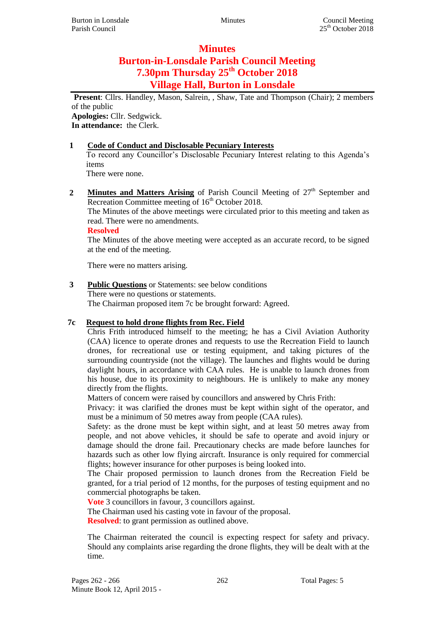## **Minutes**

# **Burton-in-Lonsdale Parish Council Meeting 7.30pm Thursday 25th October 2018 Village Hall, Burton in Lonsdale**

**Present**: Cllrs. Handley, Mason, Salrein, , Shaw, Tate and Thompson (Chair); 2 members of the public **Apologies:** Cllr. Sedgwick.

**In attendance:** the Clerk.

#### **1 Code of Conduct and Disclosable Pecuniary Interests**

To record any Councillor's Disclosable Pecuniary Interest relating to this Agenda's items

There were none.

2 **Minutes and Matters Arising** of Parish Council Meeting of  $27<sup>th</sup>$  September and Recreation Committee meeting of  $16<sup>th</sup>$  October 2018.

The Minutes of the above meetings were circulated prior to this meeting and taken as read. There were no amendments.

**Resolved**

The Minutes of the above meeting were accepted as an accurate record, to be signed at the end of the meeting.

There were no matters arising.

# **3 Public Questions** or Statements: see below conditions There were no questions or statements.

The Chairman proposed item 7c be brought forward: Agreed.

### **7c Request to hold drone flights from Rec. Field**

Chris Frith introduced himself to the meeting; he has a Civil Aviation Authority (CAA) licence to operate drones and requests to use the Recreation Field to launch drones, for recreational use or testing equipment, and taking pictures of the surrounding countryside (not the village). The launches and flights would be during daylight hours, in accordance with CAA rules. He is unable to launch drones from his house, due to its proximity to neighbours. He is unlikely to make any money directly from the flights.

Matters of concern were raised by councillors and answered by Chris Frith:

Privacy: it was clarified the drones must be kept within sight of the operator, and must be a minimum of 50 metres away from people (CAA rules).

Safety: as the drone must be kept within sight, and at least 50 metres away from people, and not above vehicles, it should be safe to operate and avoid injury or damage should the drone fail. Precautionary checks are made before launches for hazards such as other low flying aircraft. Insurance is only required for commercial flights; however insurance for other purposes is being looked into.

The Chair proposed permission to launch drones from the Recreation Field be granted, for a trial period of 12 months, for the purposes of testing equipment and no commercial photographs be taken.

**Vote** 3 councillors in favour, 3 councillors against.

The Chairman used his casting vote in favour of the proposal.

**Resolved**: to grant permission as outlined above.

The Chairman reiterated the council is expecting respect for safety and privacy. Should any complaints arise regarding the drone flights, they will be dealt with at the time.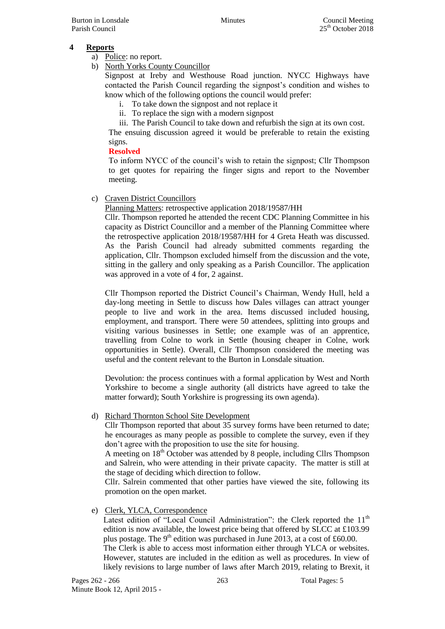#### **4 Reports**

- a) Police: no report.
- b) North Yorks County Councillor

Signpost at Ireby and Westhouse Road junction. NYCC Highways have contacted the Parish Council regarding the signpost's condition and wishes to know which of the following options the council would prefer:

- i. To take down the signpost and not replace it
- ii. To replace the sign with a modern signpost
- iii. The Parish Council to take down and refurbish the sign at its own cost.

The ensuing discussion agreed it would be preferable to retain the existing signs.

#### **Resolved**

To inform NYCC of the council's wish to retain the signpost; Cllr Thompson to get quotes for repairing the finger signs and report to the November meeting.

c) Craven District Councillors

Planning Matters: retrospective application 2018/19587/HH

Cllr. Thompson reported he attended the recent CDC Planning Committee in his capacity as District Councillor and a member of the Planning Committee where the retrospective application 2018/19587/HH for 4 Greta Heath was discussed. As the Parish Council had already submitted comments regarding the application, Cllr. Thompson excluded himself from the discussion and the vote, sitting in the gallery and only speaking as a Parish Councillor. The application was approved in a vote of 4 for, 2 against.

Cllr Thompson reported the District Council's Chairman, Wendy Hull, held a day-long meeting in Settle to discuss how Dales villages can attract younger people to live and work in the area. Items discussed included housing, employment, and transport. There were 50 attendees, splitting into groups and visiting various businesses in Settle; one example was of an apprentice, travelling from Colne to work in Settle (housing cheaper in Colne, work opportunities in Settle). Overall, Cllr Thompson considered the meeting was useful and the content relevant to the Burton in Lonsdale situation.

Devolution: the process continues with a formal application by West and North Yorkshire to become a single authority (all districts have agreed to take the matter forward); South Yorkshire is progressing its own agenda).

#### d) Richard Thornton School Site Development

Cllr Thompson reported that about 35 survey forms have been returned to date; he encourages as many people as possible to complete the survey, even if they don't agree with the proposition to use the site for housing.

A meeting on  $18<sup>th</sup>$  October was attended by 8 people, including Cllrs Thompson and Salrein, who were attending in their private capacity. The matter is still at the stage of deciding which direction to follow.

Cllr. Salrein commented that other parties have viewed the site, following its promotion on the open market.

e) Clerk, YLCA, Correspondence

Latest edition of "Local Council Administration": the Clerk reported the 11<sup>th</sup> edition is now available, the lowest price being that offered by SLCC at £103.99 plus postage. The  $9<sup>th</sup>$  edition was purchased in June 2013, at a cost of £60.00. The Clerk is able to access most information either through YLCA or websites. However, statutes are included in the edition as well as procedures. In view of likely revisions to large number of laws after March 2019, relating to Brexit, it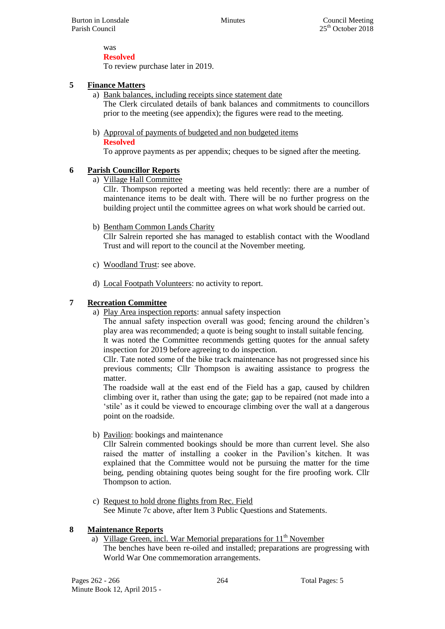#### was **Resolved**

To review purchase later in 2019.

#### **5 Finance Matters**

a) Bank balances, including receipts since statement date

The Clerk circulated details of bank balances and commitments to councillors prior to the meeting (see appendix); the figures were read to the meeting.

b) Approval of payments of budgeted and non budgeted items **Resolved**

To approve payments as per appendix; cheques to be signed after the meeting.

#### **6 Parish Councillor Reports**

a) Village Hall Committee

Cllr. Thompson reported a meeting was held recently: there are a number of maintenance items to be dealt with. There will be no further progress on the building project until the committee agrees on what work should be carried out.

b) Bentham Common Lands Charity

Cllr Salrein reported she has managed to establish contact with the Woodland Trust and will report to the council at the November meeting.

- c) Woodland Trust: see above.
- d) Local Footpath Volunteers: no activity to report.

#### **7 Recreation Committee**

a) Play Area inspection reports: annual safety inspection

The annual safety inspection overall was good; fencing around the children's play area was recommended; a quote is being sought to install suitable fencing.

It was noted the Committee recommends getting quotes for the annual safety inspection for 2019 before agreeing to do inspection.

Cllr. Tate noted some of the bike track maintenance has not progressed since his previous comments; Cllr Thompson is awaiting assistance to progress the matter.

The roadside wall at the east end of the Field has a gap, caused by children climbing over it, rather than using the gate; gap to be repaired (not made into a 'stile' as it could be viewed to encourage climbing over the wall at a dangerous point on the roadside.

b) Pavilion: bookings and maintenance

Cllr Salrein commented bookings should be more than current level. She also raised the matter of installing a cooker in the Pavilion's kitchen. It was explained that the Committee would not be pursuing the matter for the time being, pending obtaining quotes being sought for the fire proofing work. Cllr Thompson to action.

c) Request to hold drone flights from Rec. Field See Minute 7c above, after Item 3 Public Questions and Statements.

#### **8 Maintenance Reports**

a) Village Green, incl. War Memorial preparations for  $11<sup>th</sup>$  November The benches have been re-oiled and installed; preparations are progressing with World War One commemoration arrangements.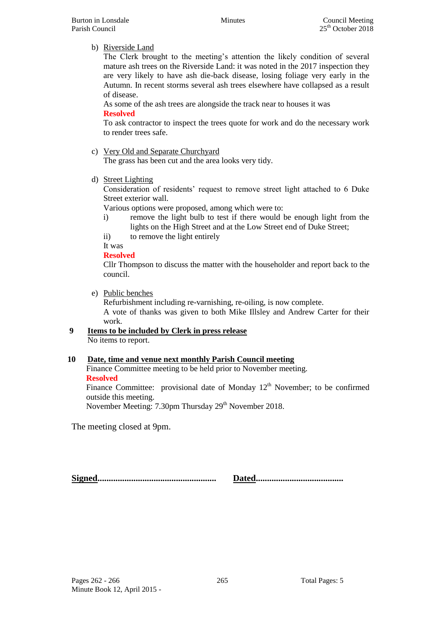#### b) Riverside Land

The Clerk brought to the meeting's attention the likely condition of several mature ash trees on the Riverside Land: it was noted in the 2017 inspection they are very likely to have ash die-back disease, losing foliage very early in the Autumn. In recent storms several ash trees elsewhere have collapsed as a result of disease.

As some of the ash trees are alongside the track near to houses it was **Resolved**

To ask contractor to inspect the trees quote for work and do the necessary work to render trees safe.

c) Very Old and Separate Churchyard

The grass has been cut and the area looks very tidy.

d) Street Lighting

Consideration of residents' request to remove street light attached to 6 Duke Street exterior wall.

Various options were proposed, among which were to:

- i) remove the light bulb to test if there would be enough light from the lights on the High Street and at the Low Street end of Duke Street;
- ii) to remove the light entirely

It was

### **Resolved**

Cllr Thompson to discuss the matter with the householder and report back to the council.

e) Public benches

Refurbishment including re-varnishing, re-oiling, is now complete. A vote of thanks was given to both Mike Illsley and Andrew Carter for their work.

#### **9 Items to be included by Clerk in press release** No items to report.

#### **10 Date, time and venue next monthly Parish Council meeting**

Finance Committee meeting to be held prior to November meeting. **Resolved**

Finance Committee: provisional date of Monday  $12<sup>th</sup>$  November; to be confirmed outside this meeting.

November Meeting: 7.30pm Thursday 29<sup>th</sup> November 2018.

The meeting closed at 9pm.

**Signed..................................................... Dated.......................................**